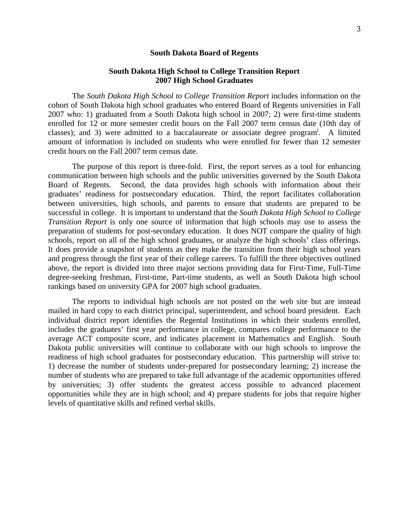#### **South Dakota Board of Regents**

# **South Dakota High School to College Transition Report 2007 High School Graduates**

The *South Dakota High School to College Transition Report* includes information on the cohort of South Dakota high school graduates who entered Board of Regents universities in Fall 2007 who: 1) graduated from a South Dakota high school in 2007; 2) were first-time students enrolled for 12 or more semester credit hours on the Fall 2007 term census date (10th day of classes); and 3) were admitted to a baccalaureate or associate degree program<sup>i</sup>. A limited amount of information is included on students who were enrolled for fewer than 12 semester credit hours on the Fall 2007 term census date.

The purpose of this report is three-fold. First, the report serves as a tool for enhancing communication between high schools and the public universities governed by the South Dakota Board of Regents. Second, the data provides high schools with information about their graduates' readiness for postsecondary education. Third, the report facilitates collaboration between universities, high schools, and parents to ensure that students are prepared to be successful in college. It is important to understand that the *South Dakota High School to College Transition Report* is only one source of information that high schools may use to assess the preparation of students for post-secondary education. It does NOT compare the quality of high schools, report on all of the high school graduates, or analyze the high schools' class offerings. It does provide a snapshot of students as they make the transition from their high school years and progress through the first year of their college careers. To fulfill the three objectives outlined above, the report is divided into three major sections providing data for First-Time, Full-Time degree-seeking freshman, First-time, Part-time students, as well as South Dakota high school rankings based on university GPA for 2007 high school graduates.

The reports to individual high schools are not posted on the web site but are instead mailed in hard copy to each district principal, superintendent, and school board president. Each individual district report identifies the Regental Institutions in which their students enrolled, includes the graduates' first year performance in college, compares college performance to the average ACT composite score, and indicates placement in Mathematics and English. South Dakota public universities will continue to collaborate with our high schools to improve the readiness of high school graduates for postsecondary education. This partnership will strive to: 1) decrease the number of students under-prepared for postsecondary learning; 2) increase the number of students who are prepared to take full advantage of the academic opportunities offered by universities; 3) offer students the greatest access possible to advanced placement opportunities while they are in high school; and 4) prepare students for jobs that require higher levels of quantitative skills and refined verbal skills.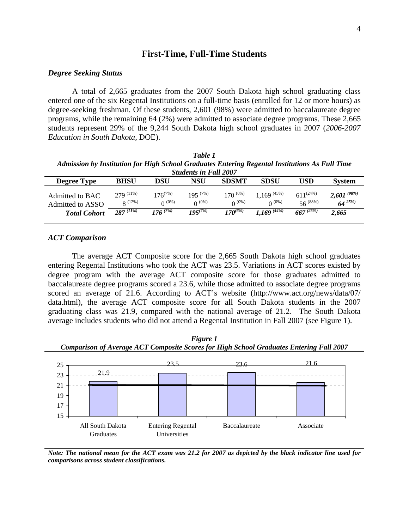# **First-Time, Full-Time Students**

### *Degree Seeking Status*

A total of 2,665 graduates from the 2007 South Dakota high school graduating class entered one of the six Regental Institutions on a full-time basis (enrolled for 12 or more hours) as degree-seeking freshman. Of these students, 2,601 (98%) were admitted to baccalaureate degree programs, while the remaining 64 (2%) were admitted to associate degree programs. These 2,665 students represent 29% of the 9,244 South Dakota high school graduates in 2007 (*2006-2007 Education in South Dakota,* DOE).

| Table 1                                                                                        |
|------------------------------------------------------------------------------------------------|
| Admission by Institution for High School Graduates Entering Regental Institutions As Full Time |
| <b>Students in Fall 2007</b>                                                                   |

|                                     |                                      |                                   | stuuents in Fuu 2007         |                              |                                |                                 |                                 |
|-------------------------------------|--------------------------------------|-----------------------------------|------------------------------|------------------------------|--------------------------------|---------------------------------|---------------------------------|
| Degree Type                         | <b>BHSU</b>                          | DSU                               | NSU                          | <b>SDSMT</b>                 | <b>SDSU</b>                    | USD                             | <b>System</b>                   |
| Admitted to BAC<br>Admitted to ASSO | $279$ $(11\%)$<br>$\mathbf{Q}$ (12%) | $176^{(7\%)}$<br>$\Omega^{(0\%)}$ | $195^{(7\%)}$<br>$0^{(0\%)}$ | $170^{(6\%)}$<br>$0^{(0\%)}$ | $.169^{(45\%)}$<br>$0^{(0\%)}$ | $611^{(24\%)}$<br>$56^{(88\%)}$ | $2,601^{(98\%)}$<br>$64^{25\%}$ |
| <b>Total Cohort</b>                 | $287^{(11\%)}$                       | $176^{(7\%)}$                     | $195^{(7\%)}$                | $170^{(6\%)}$                | $1.169^{\,(44\%)}$             | $667^{(25\%)}$                  | 2.665                           |

#### *ACT Comparison*

The average ACT Composite score for the 2,665 South Dakota high school graduates entering Regental Institutions who took the ACT was 23.5. Variations in ACT scores existed by degree program with the average ACT composite score for those graduates admitted to baccalaureate degree programs scored a 23.6, while those admitted to associate degree programs scored an average of 21.6. According to ACT's website (http://www.act.org/news/data/07/ data.html), the average ACT composite score for all South Dakota students in the 2007 graduating class was 21.9, compared with the national average of 21.2. The South Dakota average includes students who did not attend a Regental Institution in Fall 2007 (see Figure 1).





*Note: The national mean for the ACT exam was 21.2 for 2007 as depicted by the black indicator line used for comparisons across student classifications.*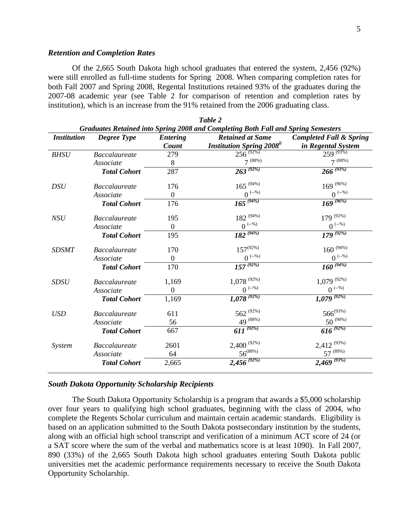# *Retention and Completion Rates*

Of the 2,665 South Dakota high school graduates that entered the system, 2,456 (92%) were still enrolled as full-time students for Spring 2008. When comparing completion rates for both Fall 2007 and Spring 2008, Regental Institutions retained 93% of the graduates during the 2007-08 academic year (see Table 2 for comparison of retention and completion rates by institution), which is an increase from the 91% retained from the 2006 graduating class.

*Table 2* 

| <b>Institution</b> | <b>Degree Type</b>   | <b>Entering</b><br><b>Count</b> | <b>Retained at Same</b><br><b>Institution Spring 2008</b> <sup>ii</sup> | <b>Completed Fall &amp; Spring</b><br>in Regental System |
|--------------------|----------------------|---------------------------------|-------------------------------------------------------------------------|----------------------------------------------------------|
| <b>BHSU</b>        | <b>Baccalaureate</b> | 279                             | $256^{(92\%)}$                                                          | $259^{(93\%)}$                                           |
|                    | Associate            | 8                               | $7^{(88\%)}$                                                            | $7^{(88\%)}$                                             |
|                    | <b>Total Cohort</b>  | 287                             | $263^{(92\%)}$                                                          | $266^{(93\%)}$                                           |
| <b>DSU</b>         | <b>Baccalaureate</b> | 176                             | $165^{(94\%)}$                                                          | $169^{\,(96\%)}$                                         |
|                    | Associate            | $\boldsymbol{0}$                | $0$ $\sp(-2)$                                                           | $0$ $\sp(-\%)$                                           |
|                    | <b>Total Cohort</b>  | 176                             | $165^{(94\%)}$                                                          | $169^{(96\%)}$                                           |
| NSU                | <b>Baccalaureate</b> | 195                             | $182^{(94\%)}$                                                          | $179^{(92\%)}$                                           |
|                    | Associate            | $\overline{0}$                  | $0^{(-\%)}$                                                             | $0^{(-%)}$                                               |
|                    | <b>Total Cohort</b>  | 195                             | $182^{(94\%)}$                                                          | $\overline{179}^{(92\%)}$                                |
| <b>SDSMT</b>       | <b>Baccalaureate</b> | 170                             | $157^{(92\%)}$                                                          | $160\ ^{\left(94\% \right)}$                             |
|                    | Associate            | $\theta$                        | $0$ <sup>(--%)</sup>                                                    | $0^{(-\%)}$                                              |
|                    | <b>Total Cohort</b>  | 170                             | $157^{(92\%)}$                                                          | $160^{(94\%)}$                                           |
| <b>SDSU</b>        | <b>Baccalaureate</b> | 1,169                           | $1,078$ <sup>(92%)</sup>                                                | $1,079$ (92%)                                            |
|                    | Associate            | $\overline{0}$                  | $0^{(-\%)}$                                                             | $0^{(-\%)}$                                              |
|                    | <b>Total Cohort</b>  | 1,169                           | $1,078$ <sup>(92%)</sup>                                                | $1,079$ <sup>(92%)</sup>                                 |
| <b>USD</b>         | <b>Baccalaureate</b> | 611                             | 562 $(92%)$                                                             | $566^{(93\%)}$                                           |
|                    | Associate            | 56                              | $49^{(88\%)}$                                                           | $50^{(90\%)}$                                            |
|                    | <b>Total Cohort</b>  | 667                             | $611^{(92\%)}$                                                          | $616^{(92\%)}$                                           |
| <i>System</i>      | <b>Baccalaureate</b> | 2601                            | $2,400^{(92\%)}$                                                        | $2,412^{(93\%)}$                                         |
|                    | Associate            | 64                              | $56^{(88\%)}$                                                           | $57^{(89\%)}$                                            |
|                    | <b>Total Cohort</b>  | 2,665                           | $2,456^{(92\%)}$                                                        | $2,469^{(93\%)}$                                         |

#### *South Dakota Opportunity Scholarship Recipients*

The South Dakota Opportunity Scholarship is a program that awards a \$5,000 scholarship over four years to qualifying high school graduates, beginning with the class of 2004, who complete the Regents Scholar curriculum and maintain certain academic standards. Eligibility is based on an application submitted to the South Dakota postsecondary institution by the students, along with an official high school transcript and verification of a minimum ACT score of 24 (or a SAT score where the sum of the verbal and mathematics score is at least 1090). In Fall 2007, 890 (33%) of the 2,665 South Dakota high school graduates entering South Dakota public universities met the academic performance requirements necessary to receive the South Dakota Opportunity Scholarship.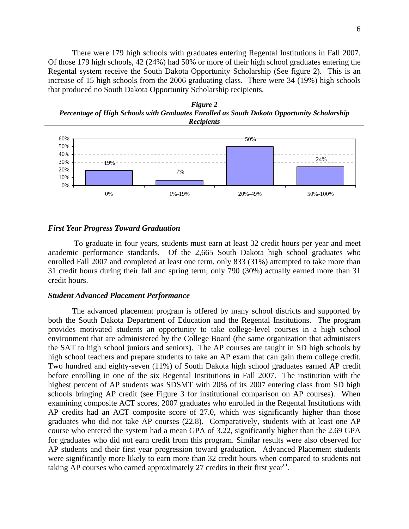There were 179 high schools with graduates entering Regental Institutions in Fall 2007. Of those 179 high schools, 42 (24%) had 50% or more of their high school graduates entering the Regental system receive the South Dakota Opportunity Scholarship (See figure 2). This is an increase of 15 high schools from the 2006 graduating class. There were 34 (19%) high schools that produced no South Dakota Opportunity Scholarship recipients.





### *First Year Progress Toward Graduation*

 To graduate in four years, students must earn at least 32 credit hours per year and meet academic performance standards. Of the 2,665 South Dakota high school graduates who enrolled Fall 2007 and completed at least one term, only 833 (31%) attempted to take more than 31 credit hours during their fall and spring term; only 790 (30%) actually earned more than 31 credit hours.

# *Student Advanced Placement Performance*

The advanced placement program is offered by many school districts and supported by both the South Dakota Department of Education and the Regental Institutions. The program provides motivated students an opportunity to take college-level courses in a high school environment that are administered by the College Board (the same organization that administers the SAT to high school juniors and seniors). The AP courses are taught in SD high schools by high school teachers and prepare students to take an AP exam that can gain them college credit. Two hundred and eighty-seven (11%) of South Dakota high school graduates earned AP credit before enrolling in one of the six Regental Institutions in Fall 2007. The institution with the highest percent of AP students was SDSMT with 20% of its 2007 entering class from SD high schools bringing AP credit (see Figure 3 for institutional comparison on AP courses). When examining composite ACT scores, 2007 graduates who enrolled in the Regental Institutions with AP credits had an ACT composite score of 27.0, which was significantly higher than those graduates who did not take AP courses (22.8). Comparatively, students with at least one AP course who entered the system had a mean GPA of 3.22, significantly higher than the 2.69 GPA for graduates who did not earn credit from this program. Similar results were also observed for AP students and their first year progression toward graduation. Advanced Placement students were significantly more likely to earn more than 32 credit hours when compared to students not taking AP courses who earned approximately 27 credits in their first year<sup>iii</sup>.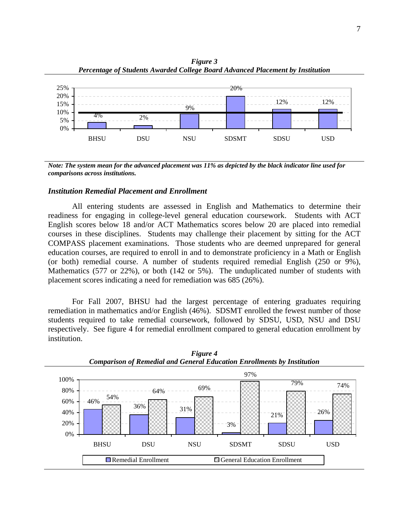

*Figure 3 Percentage of Students Awarded College Board Advanced Placement by Institution*

*Note: The system mean for the advanced placement was 11% as depicted by the black indicator line used for comparisons across institutions.*

# *Institution Remedial Placement and Enrollment*

All entering students are assessed in English and Mathematics to determine their readiness for engaging in college-level general education coursework. Students with ACT English scores below 18 and/or ACT Mathematics scores below 20 are placed into remedial courses in these disciplines. Students may challenge their placement by sitting for the ACT COMPASS placement examinations. Those students who are deemed unprepared for general education courses, are required to enroll in and to demonstrate proficiency in a Math or English (or both) remedial course. A number of students required remedial English (250 or 9%), Mathematics (577 or 22%), or both (142 or 5%). The unduplicated number of students with placement scores indicating a need for remediation was 685 (26%).

 For Fall 2007, BHSU had the largest percentage of entering graduates requiring remediation in mathematics and/or English (46%). SDSMT enrolled the fewest number of those students required to take remedial coursework, followed by SDSU, USD, NSU and DSU respectively. See figure 4 for remedial enrollment compared to general education enrollment by institution.



*Figure 4 Comparison of Remedial and General Education Enrollments by Institution*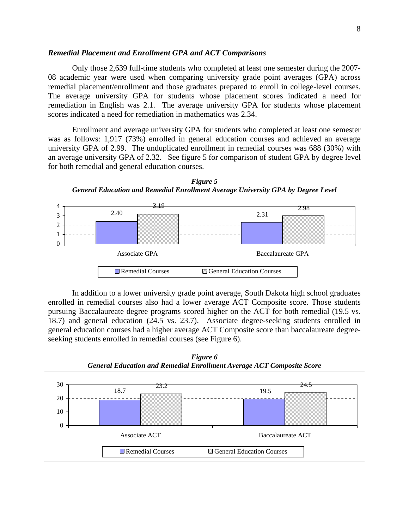#### *Remedial Placement and Enrollment GPA and ACT Comparisons*

Only those 2,639 full-time students who completed at least one semester during the 2007- 08 academic year were used when comparing university grade point averages (GPA) across remedial placement/enrollment and those graduates prepared to enroll in college-level courses. The average university GPA for students whose placement scores indicated a need for remediation in English was 2.1. The average university GPA for students whose placement scores indicated a need for remediation in mathematics was 2.34.

Enrollment and average university GPA for students who completed at least one semester was as follows: 1,917 (73%) enrolled in general education courses and achieved an average university GPA of 2.99. The unduplicated enrollment in remedial courses was 688 (30%) with an average university GPA of 2.32. See figure 5 for comparison of student GPA by degree level for both remedial and general education courses.



In addition to a lower university grade point average, South Dakota high school graduates enrolled in remedial courses also had a lower average ACT Composite score. Those students pursuing Baccalaureate degree programs scored higher on the ACT for both remedial (19.5 vs. 18.7) and general education (24.5 vs. 23.7). Associate degree-seeking students enrolled in general education courses had a higher average ACT Composite score than baccalaureate degreeseeking students enrolled in remedial courses (see Figure 6).



*Figure 6 General Education and Remedial Enrollment Average ACT Composite Score*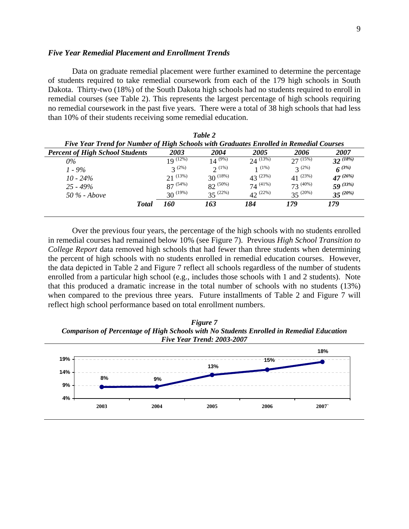#### *Five Year Remedial Placement and Enrollment Trends*

Data on graduate remedial placement were further examined to determine the percentage of students required to take remedial coursework from each of the 179 high schools in South Dakota. Thirty-two (18%) of the South Dakota high schools had no students required to enroll in remedial courses (see Table 2). This represents the largest percentage of high schools requiring no remedial coursework in the past five years. There were a total of 38 high schools that had less than 10% of their students receiving some remedial education.

| Five Year Trend for Number of High Schools with Graduates Enrolled in Remedial Courses |               | Table 2       |               |               |               |
|----------------------------------------------------------------------------------------|---------------|---------------|---------------|---------------|---------------|
| <b>Percent of High School Students</b>                                                 | 2003          | 2004          | 2005          | 2006          | 2007          |
| $0\%$                                                                                  | $19^{(12\%)}$ | $14^{(9\%)}$  | $24^{(13\%)}$ | $27^{(15\%)}$ | $32^{(18\%)}$ |
| $1 - 9\%$                                                                              | $2^{(2\%)}$   | 2(1%)         | 1(1%)         | $3^{(2\%)}$   | $6^{(3\%)}$   |
| $10 - 24\%$                                                                            | $21^{(13\%)}$ | $30^{(18\%)}$ | $43^{(23%)}$  | $41^{(23\%)}$ | $47^{(26\%)}$ |
| $25 - 49\%$                                                                            | $87^{(54\%)}$ | $82^{(50\%)}$ | $74^{(41\%)}$ | $73^{(40\%)}$ | $59^{(33\%)}$ |
| 50 % - Above                                                                           | $30^{(19\%)}$ | $35^{(22\%)}$ | $42^{(22\%)}$ | $35^{(20\%)}$ | $35^{(20\%)}$ |
| <b>Total</b>                                                                           | 160           | 163           | 184           | 179           | 179           |

Over the previous four years, the percentage of the high schools with no students enrolled in remedial courses had remained below 10% (see Figure 7). Previous *High School Transition to College Report* data removed high schools that had fewer than three students when determining the percent of high schools with no students enrolled in remedial education courses. However, the data depicted in Table 2 and Figure 7 reflect all schools regardless of the number of students enrolled from a particular high school (e.g., includes those schools with 1 and 2 students). Note that this produced a dramatic increase in the total number of schools with no students (13%) when compared to the previous three years. Future installments of Table 2 and Figure 7 will reflect high school performance based on total enrollment numbers.

*Figure 7 Comparison of Percentage of High Schools with No Students Enrolled in Remedial Education Five Year Trend: 2003-2007*

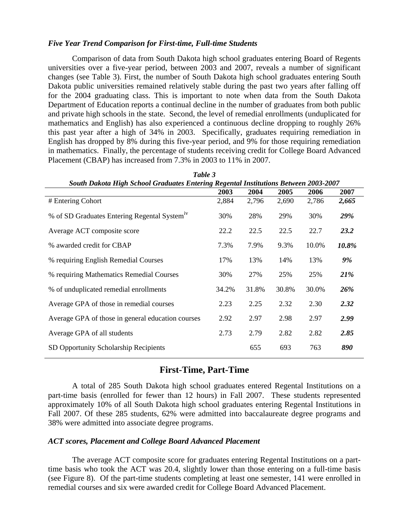#### *Five Year Trend Comparison for First-time, Full-time Students*

Comparison of data from South Dakota high school graduates entering Board of Regents universities over a five-year period, between 2003 and 2007, reveals a number of significant changes (see Table 3). First, the number of South Dakota high school graduates entering South Dakota public universities remained relatively stable during the past two years after falling off for the 2004 graduating class. This is important to note when data from the South Dakota Department of Education reports a continual decline in the number of graduates from both public and private high schools in the state. Second, the level of remedial enrollments (unduplicated for mathematics and English) has also experienced a continuous decline dropping to roughly 26% this past year after a high of 34% in 2003. Specifically, graduates requiring remediation in English has dropped by 8% during this five-year period, and 9% for those requiring remediation in mathematics. Finally, the percentage of students receiving credit for College Board Advanced Placement (CBAP) has increased from 7.3% in 2003 to 11% in 2007.

| South Dakota High School Graduates Entering Regental Institutions Between 2003-2007 |       |       |       |       |       |
|-------------------------------------------------------------------------------------|-------|-------|-------|-------|-------|
|                                                                                     | 2003  | 2004  | 2005  | 2006  | 2007  |
| # Entering Cohort                                                                   | 2,884 | 2,796 | 2,690 | 2,786 | 2,665 |
| % of SD Graduates Entering Regental System <sup>iv</sup>                            | 30%   | 28%   | 29%   | 30%   | 29%   |
| Average ACT composite score                                                         | 22.2  | 22.5  | 22.5  | 22.7  | 23.2  |
| % awarded credit for CBAP                                                           | 7.3%  | 7.9%  | 9.3%  | 10.0% | 10.8% |
| % requiring English Remedial Courses                                                | 17%   | 13%   | 14%   | 13%   | 9%    |
| % requiring Mathematics Remedial Courses                                            | 30%   | 27%   | 25%   | 25%   | 21%   |
| % of unduplicated remedial enrollments                                              | 34.2% | 31.8% | 30.8% | 30.0% | 26%   |
| Average GPA of those in remedial courses                                            | 2.23  | 2.25  | 2.32  | 2.30  | 2.32  |
| Average GPA of those in general education courses                                   | 2.92  | 2.97  | 2.98  | 2.97  | 2.99  |
| Average GPA of all students                                                         | 2.73  | 2.79  | 2.82  | 2.82  | 2.85  |
| SD Opportunity Scholarship Recipients                                               |       | 655   | 693   | 763   | 890   |

*Table 3 South Dakota High School Graduates Entering Regental Institutions Between 2003-2007* 

# **First-Time, Part-Time**

A total of 285 South Dakota high school graduates entered Regental Institutions on a part-time basis (enrolled for fewer than 12 hours) in Fall 2007. These students represented approximately 10% of all South Dakota high school graduates entering Regental Institutions in Fall 2007. Of these 285 students, 62% were admitted into baccalaureate degree programs and 38% were admitted into associate degree programs.

# *ACT scores, Placement and College Board Advanced Placement*

The average ACT composite score for graduates entering Regental Institutions on a parttime basis who took the ACT was 20.4, slightly lower than those entering on a full-time basis (see Figure 8). Of the part-time students completing at least one semester, 141 were enrolled in remedial courses and six were awarded credit for College Board Advanced Placement.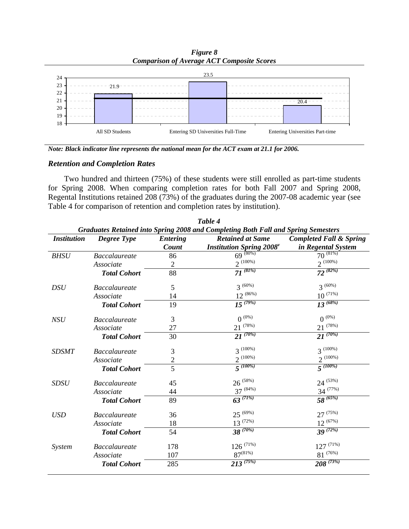*Figure 8 Comparison of Average ACT Composite Scores*



*Note: Black indicator line represents the national mean for the ACT exam at 21.1 for 2006.*

# *Retention and Completion Rates*

Two hundred and thirteen (75%) of these students were still enrolled as part-time students for Spring 2008. When comparing completion rates for both Fall 2007 and Spring 2008, Regental Institutions retained 208 (73%) of the graduates during the 2007-08 academic year (see Table 4 for comparison of retention and completion rates by institution).

|                    |                      |                          | Table 4                                                                                                                                                     |                                                          |
|--------------------|----------------------|--------------------------|-------------------------------------------------------------------------------------------------------------------------------------------------------------|----------------------------------------------------------|
| <b>Institution</b> | Degree Type          | <b>Entering</b><br>Count | Graduates Retained into Spring 2008 and Completing Both Fall and Spring Semesters<br><b>Retained at Same</b><br><b>Institution Spring 2008</b> <sup>v</sup> | <b>Completed Fall &amp; Spring</b><br>in Regental System |
| <b>BHSU</b>        | <b>Baccalaureate</b> | 86                       | $69^{(80\%)}$                                                                                                                                               | $70^{(81\%)}$                                            |
|                    | Associate            | $\overline{2}$           | $2^{(100\%)}$                                                                                                                                               | $2^{(100\%)}$                                            |
|                    | <b>Total Cohort</b>  | 88                       | $7\overline{I}^{(81\%)}$                                                                                                                                    | $72^{(82\%)}$                                            |
| <b>DSU</b>         | <b>Baccalaureate</b> | 5                        | $3^{(60\%)}$                                                                                                                                                | $3^{(60\%)}$                                             |
|                    | Associate            | 14                       | $12^{(86\%)}$                                                                                                                                               | $10^{\,(71\%)}$                                          |
|                    | <b>Total Cohort</b>  | 19                       | $15^{(79\%)}$                                                                                                                                               | $13^{ (68\%)}$                                           |
| <b>NSU</b>         | <b>Baccalaureate</b> | 3                        | $0^{(0\%)}$                                                                                                                                                 | $0^{(0\%)}$                                              |
|                    | Associate            | 27                       | $21^{(78\%)}$                                                                                                                                               | $21^{(78\%)}$                                            |
|                    | <b>Total Cohort</b>  | 30                       | $2\overline{1}^{(70\%)}$                                                                                                                                    | $21^{(70\%)}$                                            |
| <b>SDSMT</b>       | <b>Baccalaureate</b> | 3                        | $3^{(100\%)}$                                                                                                                                               | $3^{(100\%)}$                                            |
|                    | Associate            | $\overline{c}$           | $2^{(100\%)}$                                                                                                                                               | $2^{(100\%)}$                                            |
|                    | <b>Total Cohort</b>  | $\overline{5}$           | $\frac{1}{5}$ (100%)                                                                                                                                        | $5^{(100\%)}$                                            |
| <b>SDSU</b>        | <b>Baccalaureate</b> | 45                       | $26^{(58\%)}$                                                                                                                                               | $24^{(53\%)}$                                            |
|                    | Associate            | 44                       | $37^{(84\%)}$                                                                                                                                               | $34^{(77%)}$                                             |
|                    | <b>Total Cohort</b>  | 89                       | $63^{(71\%)}$                                                                                                                                               | $58^{(65\%)}$                                            |
| <b>USD</b>         | <b>Baccalaureate</b> | 36                       | $25^{(69\%)}$                                                                                                                                               | $27^{(75\%)}$                                            |
|                    | Associate            | 18                       | $13^{(72\%)}$                                                                                                                                               | $12^{(67\%)}$                                            |
|                    | <b>Total Cohort</b>  | 54                       | $38^{(70\%)}$                                                                                                                                               | $39^{(72\%)}$                                            |
| System             | <b>Baccalaureate</b> | 178                      | $126$ (71%)                                                                                                                                                 | $127^{(71\%)}$                                           |
|                    | Associate            | 107                      | $87^{(81\%)}$                                                                                                                                               | $81\ ^{\,(76\%)}$                                        |
|                    | <b>Total Cohort</b>  | 285                      | $213^{(75\%)}$                                                                                                                                              | $208^{(73\%)}$                                           |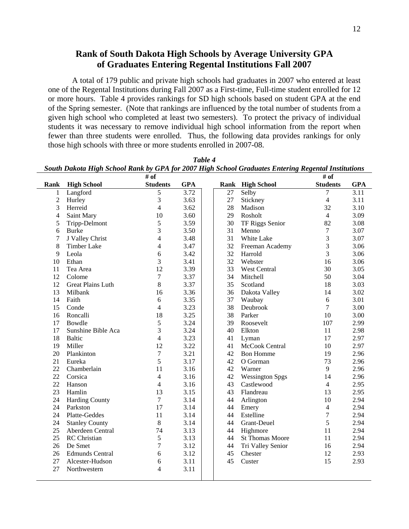# **Rank of South Dakota High Schools by Average University GPA of Graduates Entering Regental Institutions Fall 2007**

A total of 179 public and private high schools had graduates in 2007 who entered at least one of the Regental Institutions during Fall 2007 as a First-time, Full-time student enrolled for 12 or more hours. Table 4 provides rankings for SD high schools based on student GPA at the end of the Spring semester. (Note that rankings are influenced by the total number of students from a given high school who completed at least two semesters). To protect the privacy of individual students it was necessary to remove individual high school information from the report when fewer than three students were enrolled. Thus, the following data provides rankings for only those high schools with three or more students enrolled in 2007-08.

|                |                          |                  |            |    | South Dakota High School Rank by GPA for 2007 High School Graduates Entering Regental Institutions |                 |            |
|----------------|--------------------------|------------------|------------|----|----------------------------------------------------------------------------------------------------|-----------------|------------|
|                |                          | # of             |            |    |                                                                                                    | # of            |            |
| Rank           | <b>High School</b>       | <b>Students</b>  | <b>GPA</b> |    | Rank High School                                                                                   | <b>Students</b> | <b>GPA</b> |
| 1              | Langford                 | 5                | 3.72       | 27 | Selby                                                                                              | 7               | 3.11       |
| $\overline{2}$ | Hurley                   | 3                | 3.63       | 27 | Stickney                                                                                           | $\overline{4}$  | 3.11       |
| 3              | Herreid                  | $\overline{4}$   | 3.62       | 28 | Madison                                                                                            | 32              | 3.10       |
| 4              | Saint Mary               | 10               | 3.60       | 29 | Rosholt                                                                                            | $\overline{4}$  | 3.09       |
| 5              | Tripp-Delmont            | 5                | 3.59       | 30 | TF Riggs Senior                                                                                    | 82              | 3.08       |
| 6              | <b>Burke</b>             | 3                | 3.50       | 31 | Menno                                                                                              | $\overline{7}$  | 3.07       |
| 7              | J Valley Christ          | $\overline{4}$   | 3.48       | 31 | White Lake                                                                                         | 3               | 3.07       |
| 8              | Timber Lake              | $\overline{4}$   | 3.47       | 32 | Freeman Academy                                                                                    | 3               | 3.06       |
| 9              | Leola                    | 6                | 3.42       | 32 | Harrold                                                                                            | 3               | 3.06       |
| 10             | Ethan                    | 3                | 3.41       | 32 | Webster                                                                                            | 16              | 3.06       |
| 11             | Tea Area                 | 12               | 3.39       | 33 | West Central                                                                                       | 30              | 3.05       |
| 12             | Colome                   | $\boldsymbol{7}$ | 3.37       | 34 | Mitchell                                                                                           | 50              | 3.04       |
| 12             | <b>Great Plains Luth</b> | $8\,$            | 3.37       | 35 | Scotland                                                                                           | 18              | 3.03       |
| 13             | Milbank                  | 16               | 3.36       | 36 | Dakota Valley                                                                                      | 14              | 3.02       |
| 14             | Faith                    | 6                | 3.35       | 37 | Waubay                                                                                             | 6               | 3.01       |
| 15             | Conde                    | $\overline{4}$   | 3.23       | 38 | Deubrook                                                                                           | $\overline{7}$  | 3.00       |
| 16             | Roncalli                 | 18               | 3.25       | 38 | Parker                                                                                             | 10              | 3.00       |
| 17             | Bowdle                   | 5                | 3.24       | 39 | Roosevelt                                                                                          | 107             | 2.99       |
| 17             | Sunshine Bible Aca       | 3                | 3.24       | 40 | Elkton                                                                                             | 11              | 2.98       |
| 18             | <b>Baltic</b>            | $\overline{4}$   | 3.23       | 41 | Lyman                                                                                              | 17              | 2.97       |
| 19             | Miller                   | 12               | 3.22       | 41 | McCook Central                                                                                     | 10              | 2.97       |
| 20             | Plankinton               | $\tau$           | 3.21       | 42 | <b>Bon Homme</b>                                                                                   | 19              | 2.96       |
| 21             | Eureka                   | 5                | 3.17       | 42 | O Gorman                                                                                           | 73              | 2.96       |
| 22             | Chamberlain              | 11               | 3.16       | 42 | Warner                                                                                             | 9               | 2.96       |
| 22             | Corsica                  | $\overline{4}$   | 3.16       | 42 | <b>Wessington Spgs</b>                                                                             | 14              | 2.96       |
| 22             | Hanson                   | $\overline{4}$   | 3.16       | 43 | Castlewood                                                                                         | $\overline{4}$  | 2.95       |
| 23             | Hamlin                   | 13               | 3.15       | 43 | Flandreau                                                                                          | 13              | 2.95       |
| 24             | <b>Harding County</b>    | $\overline{7}$   | 3.14       | 44 | Arlington                                                                                          | 10              | 2.94       |
| 24             | Parkston                 | 17               | 3.14       | 44 | Emery                                                                                              | $\overline{4}$  | 2.94       |
| 24             | Platte-Geddes            | 11               | 3.14       | 44 | Estelline                                                                                          | $\overline{7}$  | 2.94       |
| 24             | <b>Stanley County</b>    | $\,8\,$          | 3.14       | 44 | Grant-Deuel                                                                                        | 5               | 2.94       |
| 25             | Aberdeen Central         | 74               | 3.13       | 44 | Highmore                                                                                           | 11              | 2.94       |
| 25             | <b>RC</b> Christian      | 5                | 3.13       | 44 | <b>St Thomas Moore</b>                                                                             | 11              | 2.94       |
| 26             | De Smet                  | $\boldsymbol{7}$ | 3.12       | 44 | Tri Valley Senior                                                                                  | 16              | 2.94       |
| 26             | <b>Edmunds Central</b>   | 6                | 3.12       | 45 | Chester                                                                                            | 12              | 2.93       |
| 27             | Alcester-Hudson          | 6                | 3.11       | 45 | Custer                                                                                             | 15              | 2.93       |
| 27             | Northwestern             | $\overline{4}$   | 3.11       |    |                                                                                                    |                 |            |

*Table 4 South Dakota High School Rank by GPA for 2007 High School Graduates Entering Regental Institutions*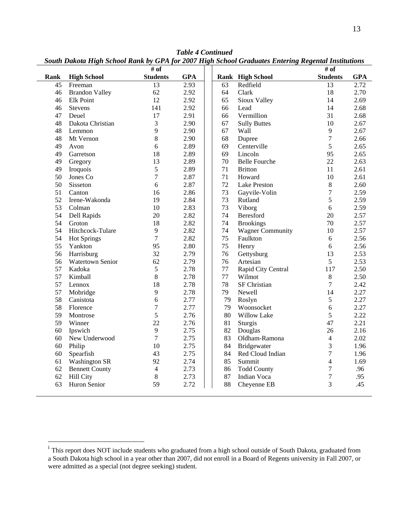|             | $\cdots$ $\cdots$     | $\overline{\# \text{ of }}$ | $\frac{1}{2}$ |    | n senoor sraamares <b>Enver m</b> | # of             | <b>AIVOVVVVVVVV IVA</b> |
|-------------|-----------------------|-----------------------------|---------------|----|-----------------------------------|------------------|-------------------------|
| <b>Rank</b> | <b>High School</b>    | <b>Students</b>             | <b>GPA</b>    |    | Rank High School                  | <b>Students</b>  | <b>GPA</b>              |
| 45          | Freeman               | 13                          | 2.93          | 63 | Redfield                          | 13               | 2.72                    |
| 46          | <b>Brandon Valley</b> | 62                          | 2.92          | 64 | Clark                             | 18               | 2.70                    |
| 46          | <b>Elk Point</b>      | 12                          | 2.92          | 65 | Sioux Valley                      | 14               | 2.69                    |
| 46          | Stevens               | 141                         | 2.92          | 66 | Lead                              | 14               | 2.68                    |
| 47          | Deuel                 | 17                          | 2.91          | 66 | Vermillion                        | 31               | 2.68                    |
| 48          | Dakota Christian      | 3                           | 2.90          | 67 | <b>Sully Buttes</b>               | 10               | 2.67                    |
| 48          | Lemmon                | 9                           | 2.90          | 67 | Wall                              | 9                | 2.67                    |
| 48          | Mt Vernon             | 8                           | 2.90          | 68 | Dupree                            | $\boldsymbol{7}$ | 2.66                    |
| 49          | Avon                  | 6                           | 2.89          | 69 | Centerville                       | 5                | 2.65                    |
| 49          | Garretson             | 18                          | 2.89          | 69 | Lincoln                           | 95               | 2.65                    |
| 49          | Gregory               | 13                          | 2.89          | 70 | <b>Belle Fourche</b>              | 22               | 2.63                    |
| 49          | Iroquois              | 5                           | 2.89          | 71 | <b>Britton</b>                    | 11               | 2.61                    |
| 50          | Jones Co              | $\boldsymbol{7}$            | 2.87          | 71 | Howard                            | 10               | 2.61                    |
| 50          | Sisseton              | $\sqrt{6}$                  | 2.87          | 72 | Lake Preston                      | $\,8\,$          | 2.60                    |
| 51          | Canton                | 16                          | 2.86          | 73 | Gayvile-Volin                     | $\overline{7}$   | 2.59                    |
| 52          | Irene-Wakonda         | 19                          | 2.84          | 73 | Rutland                           | 5                | 2.59                    |
| 53          | Colman                | 10                          | 2.83          | 73 | Viborg                            | 6                | 2.59                    |
| 54          | Dell Rapids           | 20                          | 2.82          | 74 | Beresford                         | 20               | 2.57                    |
| 54          | Groton                | 18                          | 2.82          | 74 | <b>Brookings</b>                  | 70               | 2.57                    |
| 54          | Hitchcock-Tulare      | $\overline{9}$              | 2.82          | 74 | <b>Wagner Community</b>           | 10               | 2.57                    |
| 54          | <b>Hot Springs</b>    | $\overline{7}$              | 2.82          | 75 | Faulkton                          | 6                | 2.56                    |
| 55          | Yankton               | 95                          | 2.80          | 75 | Henry                             | 6                | 2.56                    |
| 56          | Harrisburg            | 32                          | 2.79          | 76 | Gettysburg                        | 13               | 2.53                    |
| 56          | Watertown Senior      | 62                          | 2.79          | 76 | Artesian                          | 5                | 2.53                    |
| 57          | Kadoka                | 5                           | 2.78          | 77 | Rapid City Central                | 117              | 2.50                    |
| 57          | Kimball               | 8                           | 2.78          | 77 | Wilmot                            | $\,8\,$          | 2.50                    |
| 57          | Lennox                | 18                          | 2.78          | 78 | SF Christian                      | $\overline{7}$   | 2.42                    |
| 57          | Mobridge              | 9                           | 2.78          | 79 | Newell                            | 14               | 2.27                    |
| 58          | Canistota             | 6                           | 2.77          | 79 | Roslyn                            | $\sqrt{5}$       | 2.27                    |
| 58          | Florence              | $\overline{7}$              | 2.77          | 79 | Woonsocket                        | 6                | 2.27                    |
| 59          | Montrose              | 5                           | 2.76          | 80 | Willow Lake                       | 5                | 2.22                    |
| 59          | Winner                | 22                          | 2.76          | 81 | Sturgis                           | 47               | 2.21                    |
| 60          | Ipswich               | 9                           | 2.75          | 82 | Douglas                           | 26               | 2.16                    |
| 60          | New Underwood         | 7                           | 2.75          | 83 | Oldham-Ramona                     | $\overline{4}$   | 2.02                    |
| 60          | Philip                | 10                          | 2.75          | 84 | Bridgewater                       | $\overline{3}$   | 1.96                    |
| 60          | Spearfish             | 43                          | 2.75          | 84 | Red Cloud Indian                  | $\boldsymbol{7}$ | 1.96                    |
| 61          | <b>Washington SR</b>  | 92                          | 2.74          | 85 | Summit                            | $\overline{4}$   | 1.69                    |
| 62          | <b>Bennett County</b> | $\overline{4}$              | 2.73          | 86 | <b>Todd County</b>                | $\tau$           | .96                     |
| 62          | <b>Hill City</b>      | $\,8\,$                     | 2.73          | 87 | Indian Voca                       | $\boldsymbol{7}$ | .95                     |
| 63          | Huron Senior          | 59                          | 2.72          | 88 | Cheyenne EB                       | 3                | .45                     |

*Table 4 Continued South Dakota High School Rank by GPA for 2007 High School Graduates Entering Regental Institutions* 

i<br><sup>i</sup> This report does NOT include students who graduated from a high school outside of South Dakota, graduated from a South Dakota high school in a year other than 2007, did not enroll in a Board of Regents university in Fall 2007, or were admitted as a special (not degree seeking) student.